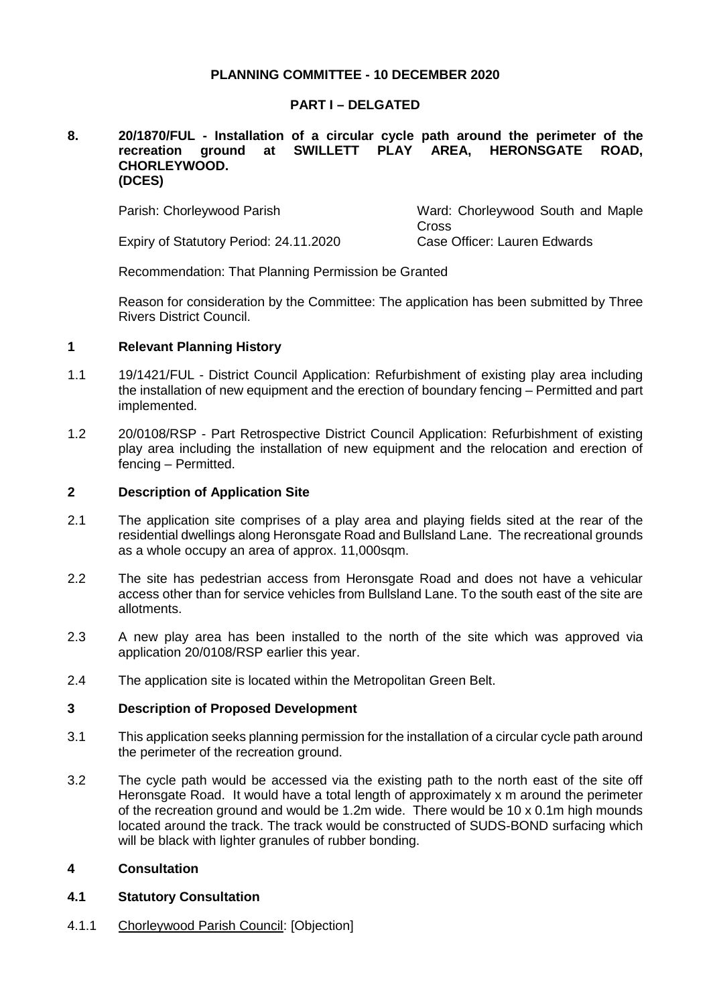# **PLANNING COMMITTEE - 10 DECEMBER 2020**

## **PART I – DELGATED**

#### **8. 20/1870/FUL - Installation of a circular cycle path around the perimeter of the recreation ground at SWILLETT PLAY AREA, HERONSGATE ROAD, CHORLEYWOOD. (DCES)**

Expiry of Statutory Period: 24.11.2020 Case Officer: Lauren Edwards

Parish: Chorleywood Parish Ward: Chorleywood South and Maple **Cross** 

Recommendation: That Planning Permission be Granted

Reason for consideration by the Committee: The application has been submitted by Three Rivers District Council.

# **1 Relevant Planning History**

- 1.1 19/1421/FUL District Council Application: Refurbishment of existing play area including the installation of new equipment and the erection of boundary fencing – Permitted and part implemented.
- 1.2 20/0108/RSP Part Retrospective District Council Application: Refurbishment of existing play area including the installation of new equipment and the relocation and erection of fencing – Permitted.

# **2 Description of Application Site**

- 2.1 The application site comprises of a play area and playing fields sited at the rear of the residential dwellings along Heronsgate Road and Bullsland Lane. The recreational grounds as a whole occupy an area of approx. 11,000sqm.
- 2.2 The site has pedestrian access from Heronsgate Road and does not have a vehicular access other than for service vehicles from Bullsland Lane. To the south east of the site are allotments.
- 2.3 A new play area has been installed to the north of the site which was approved via application 20/0108/RSP earlier this year.
- 2.4 The application site is located within the Metropolitan Green Belt.

## **3 Description of Proposed Development**

- 3.1 This application seeks planning permission for the installation of a circular cycle path around the perimeter of the recreation ground.
- 3.2 The cycle path would be accessed via the existing path to the north east of the site off Heronsgate Road. It would have a total length of approximately x m around the perimeter of the recreation ground and would be 1.2m wide. There would be 10 x 0.1m high mounds located around the track. The track would be constructed of SUDS-BOND surfacing which will be black with lighter granules of rubber bonding.

# **4 Consultation**

# **4.1 Statutory Consultation**

4.1.1 Chorleywood Parish Council: [Objection]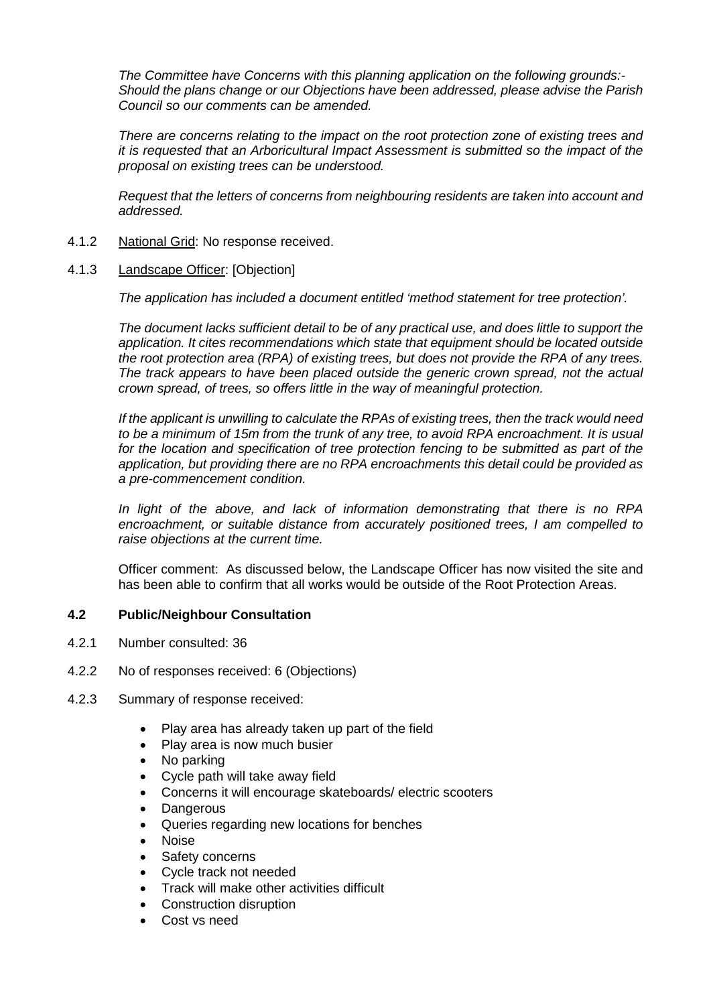*The Committee have Concerns with this planning application on the following grounds:- Should the plans change or our Objections have been addressed, please advise the Parish Council so our comments can be amended.*

*There are concerns relating to the impact on the root protection zone of existing trees and it is requested that an Arboricultural Impact Assessment is submitted so the impact of the proposal on existing trees can be understood.*

*Request that the letters of concerns from neighbouring residents are taken into account and addressed.*

- 4.1.2 National Grid: No response received.
- 4.1.3 Landscape Officer: [Objection]

*The application has included a document entitled 'method statement for tree protection'.*

*The document lacks sufficient detail to be of any practical use, and does little to support the application. It cites recommendations which state that equipment should be located outside the root protection area (RPA) of existing trees, but does not provide the RPA of any trees. The track appears to have been placed outside the generic crown spread, not the actual crown spread, of trees, so offers little in the way of meaningful protection.*

*If the applicant is unwilling to calculate the RPAs of existing trees, then the track would need to be a minimum of 15m from the trunk of any tree, to avoid RPA encroachment. It is usual for the location and specification of tree protection fencing to be submitted as part of the application, but providing there are no RPA encroachments this detail could be provided as a pre-commencement condition.*

*In light of the above, and lack of information demonstrating that there is no RPA encroachment, or suitable distance from accurately positioned trees, I am compelled to raise objections at the current time.*

Officer comment: As discussed below, the Landscape Officer has now visited the site and has been able to confirm that all works would be outside of the Root Protection Areas.

# **4.2 Public/Neighbour Consultation**

- 4.2.1 Number consulted: 36
- 4.2.2 No of responses received: 6 (Objections)
- 4.2.3 Summary of response received:
	- Play area has already taken up part of the field
	- Play area is now much busier
	- No parking
	- Cycle path will take away field
	- Concerns it will encourage skateboards/ electric scooters
	- **Dangerous**
	- Queries regarding new locations for benches
	- Noise
	- Safety concerns
	- Cycle track not needed
	- Track will make other activities difficult
	- Construction disruption
	- Cost vs need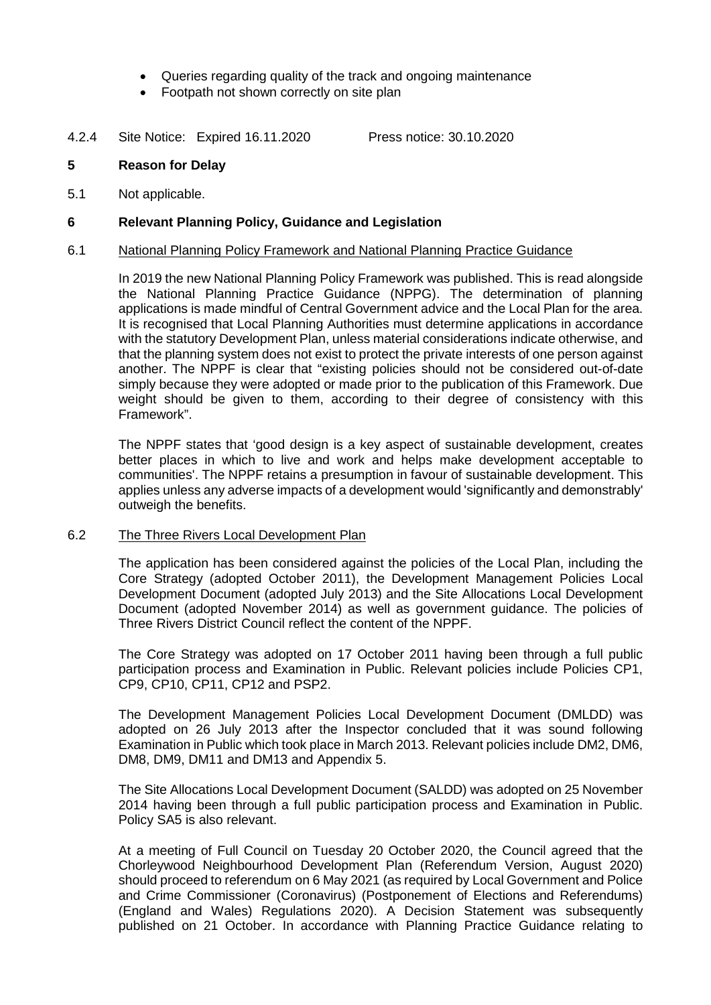- Queries regarding quality of the track and ongoing maintenance
- Footpath not shown correctly on site plan
- 4.2.4 Site Notice: Expired 16.11.2020 Press notice: 30.10.2020

## **5 Reason for Delay**

5.1 Not applicable.

## **6 Relevant Planning Policy, Guidance and Legislation**

#### 6.1 National Planning Policy Framework and National Planning Practice Guidance

In 2019 the new National Planning Policy Framework was published. This is read alongside the National Planning Practice Guidance (NPPG). The determination of planning applications is made mindful of Central Government advice and the Local Plan for the area. It is recognised that Local Planning Authorities must determine applications in accordance with the statutory Development Plan, unless material considerations indicate otherwise, and that the planning system does not exist to protect the private interests of one person against another. The NPPF is clear that "existing policies should not be considered out-of-date simply because they were adopted or made prior to the publication of this Framework. Due weight should be given to them, according to their degree of consistency with this Framework".

The NPPF states that 'good design is a key aspect of sustainable development, creates better places in which to live and work and helps make development acceptable to communities'. The NPPF retains a presumption in favour of sustainable development. This applies unless any adverse impacts of a development would 'significantly and demonstrably' outweigh the benefits.

## 6.2 The Three Rivers Local Development Plan

The application has been considered against the policies of the Local Plan, including the Core Strategy (adopted October 2011), the Development Management Policies Local Development Document (adopted July 2013) and the Site Allocations Local Development Document (adopted November 2014) as well as government guidance. The policies of Three Rivers District Council reflect the content of the NPPF.

The Core Strategy was adopted on 17 October 2011 having been through a full public participation process and Examination in Public. Relevant policies include Policies CP1, CP9, CP10, CP11, CP12 and PSP2.

The Development Management Policies Local Development Document (DMLDD) was adopted on 26 July 2013 after the Inspector concluded that it was sound following Examination in Public which took place in March 2013. Relevant policies include DM2, DM6, DM8, DM9, DM11 and DM13 and Appendix 5.

The Site Allocations Local Development Document (SALDD) was adopted on 25 November 2014 having been through a full public participation process and Examination in Public. Policy SA5 is also relevant.

At a meeting of Full Council on Tuesday 20 October 2020, the Council agreed that the Chorleywood Neighbourhood Development Plan (Referendum Version, August 2020) should proceed to referendum on 6 May 2021 (as required by Local Government and Police and Crime Commissioner (Coronavirus) (Postponement of Elections and Referendums) (England and Wales) Regulations 2020). A Decision Statement was subsequently published on 21 October. In accordance with Planning Practice Guidance relating to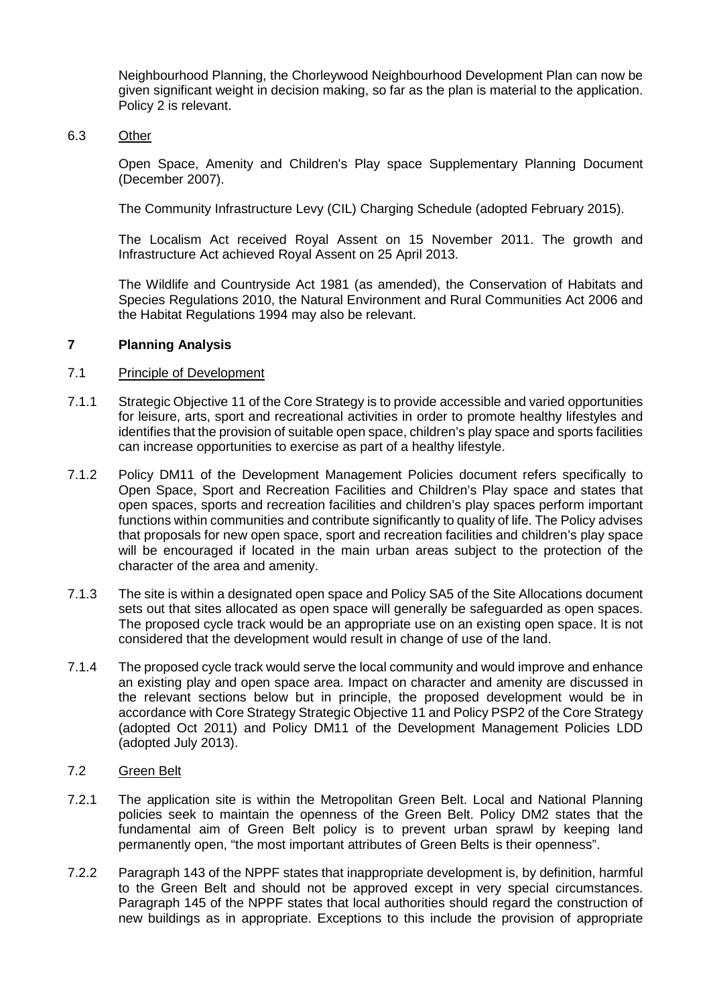Neighbourhood Planning, the Chorleywood Neighbourhood Development Plan can now be given significant weight in decision making, so far as the plan is material to the application. Policy 2 is relevant.

## 6.3 Other

Open Space, Amenity and Children's Play space Supplementary Planning Document (December 2007).

The Community Infrastructure Levy (CIL) Charging Schedule (adopted February 2015).

The Localism Act received Royal Assent on 15 November 2011. The growth and Infrastructure Act achieved Royal Assent on 25 April 2013.

The Wildlife and Countryside Act 1981 (as amended), the Conservation of Habitats and Species Regulations 2010, the Natural Environment and Rural Communities Act 2006 and the Habitat Regulations 1994 may also be relevant.

# **7 Planning Analysis**

# 7.1 Principle of Development

- 7.1.1 Strategic Objective 11 of the Core Strategy is to provide accessible and varied opportunities for leisure, arts, sport and recreational activities in order to promote healthy lifestyles and identifies that the provision of suitable open space, children's play space and sports facilities can increase opportunities to exercise as part of a healthy lifestyle.
- 7.1.2 Policy DM11 of the Development Management Policies document refers specifically to Open Space, Sport and Recreation Facilities and Children's Play space and states that open spaces, sports and recreation facilities and children's play spaces perform important functions within communities and contribute significantly to quality of life. The Policy advises that proposals for new open space, sport and recreation facilities and children's play space will be encouraged if located in the main urban areas subject to the protection of the character of the area and amenity.
- 7.1.3 The site is within a designated open space and Policy SA5 of the Site Allocations document sets out that sites allocated as open space will generally be safeguarded as open spaces. The proposed cycle track would be an appropriate use on an existing open space. It is not considered that the development would result in change of use of the land.
- 7.1.4 The proposed cycle track would serve the local community and would improve and enhance an existing play and open space area. Impact on character and amenity are discussed in the relevant sections below but in principle, the proposed development would be in accordance with Core Strategy Strategic Objective 11 and Policy PSP2 of the Core Strategy (adopted Oct 2011) and Policy DM11 of the Development Management Policies LDD (adopted July 2013).

## 7.2 Green Belt

- 7.2.1 The application site is within the Metropolitan Green Belt. Local and National Planning policies seek to maintain the openness of the Green Belt. Policy DM2 states that the fundamental aim of Green Belt policy is to prevent urban sprawl by keeping land permanently open, "the most important attributes of Green Belts is their openness".
- 7.2.2 Paragraph 143 of the NPPF states that inappropriate development is, by definition, harmful to the Green Belt and should not be approved except in very special circumstances. Paragraph 145 of the NPPF states that local authorities should regard the construction of new buildings as in appropriate. Exceptions to this include the provision of appropriate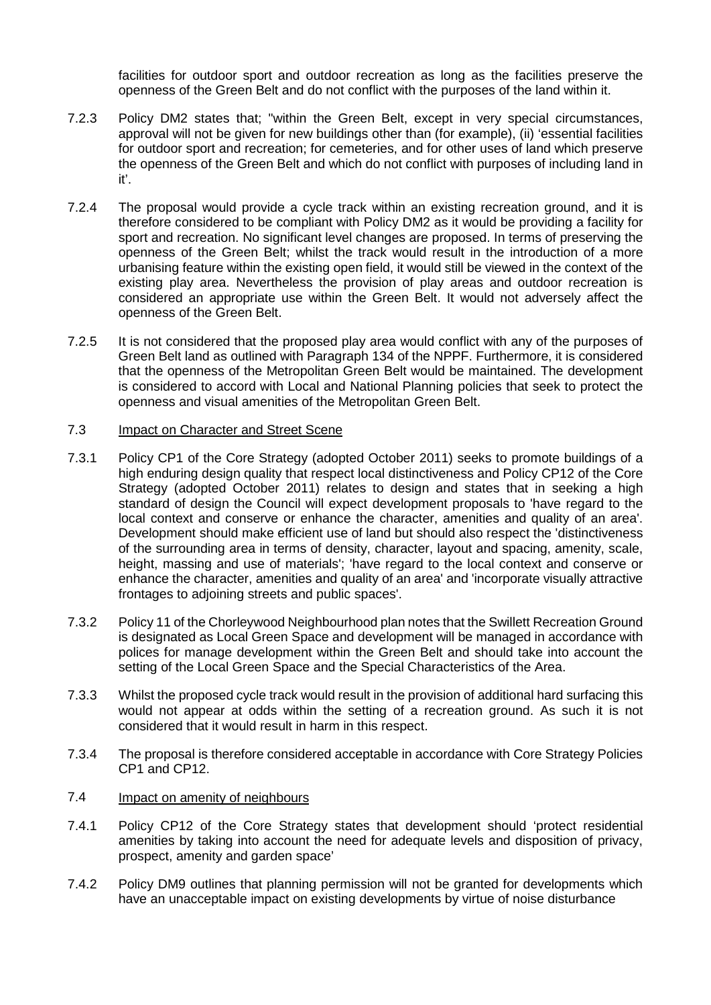facilities for outdoor sport and outdoor recreation as long as the facilities preserve the openness of the Green Belt and do not conflict with the purposes of the land within it.

- 7.2.3 Policy DM2 states that; "within the Green Belt, except in very special circumstances, approval will not be given for new buildings other than (for example), (ii) 'essential facilities for outdoor sport and recreation; for cemeteries, and for other uses of land which preserve the openness of the Green Belt and which do not conflict with purposes of including land in it'.
- 7.2.4 The proposal would provide a cycle track within an existing recreation ground, and it is therefore considered to be compliant with Policy DM2 as it would be providing a facility for sport and recreation. No significant level changes are proposed. In terms of preserving the openness of the Green Belt; whilst the track would result in the introduction of a more urbanising feature within the existing open field, it would still be viewed in the context of the existing play area. Nevertheless the provision of play areas and outdoor recreation is considered an appropriate use within the Green Belt. It would not adversely affect the openness of the Green Belt.
- 7.2.5 It is not considered that the proposed play area would conflict with any of the purposes of Green Belt land as outlined with Paragraph 134 of the NPPF. Furthermore, it is considered that the openness of the Metropolitan Green Belt would be maintained. The development is considered to accord with Local and National Planning policies that seek to protect the openness and visual amenities of the Metropolitan Green Belt.

## 7.3 Impact on Character and Street Scene

- 7.3.1 Policy CP1 of the Core Strategy (adopted October 2011) seeks to promote buildings of a high enduring design quality that respect local distinctiveness and Policy CP12 of the Core Strategy (adopted October 2011) relates to design and states that in seeking a high standard of design the Council will expect development proposals to 'have regard to the local context and conserve or enhance the character, amenities and quality of an area'. Development should make efficient use of land but should also respect the 'distinctiveness of the surrounding area in terms of density, character, layout and spacing, amenity, scale, height, massing and use of materials'; 'have regard to the local context and conserve or enhance the character, amenities and quality of an area' and 'incorporate visually attractive frontages to adjoining streets and public spaces'.
- 7.3.2 Policy 11 of the Chorleywood Neighbourhood plan notes that the Swillett Recreation Ground is designated as Local Green Space and development will be managed in accordance with polices for manage development within the Green Belt and should take into account the setting of the Local Green Space and the Special Characteristics of the Area.
- 7.3.3 Whilst the proposed cycle track would result in the provision of additional hard surfacing this would not appear at odds within the setting of a recreation ground. As such it is not considered that it would result in harm in this respect.
- 7.3.4 The proposal is therefore considered acceptable in accordance with Core Strategy Policies CP1 and CP12.

## 7.4 Impact on amenity of neighbours

- 7.4.1 Policy CP12 of the Core Strategy states that development should 'protect residential amenities by taking into account the need for adequate levels and disposition of privacy, prospect, amenity and garden space'
- 7.4.2 Policy DM9 outlines that planning permission will not be granted for developments which have an unacceptable impact on existing developments by virtue of noise disturbance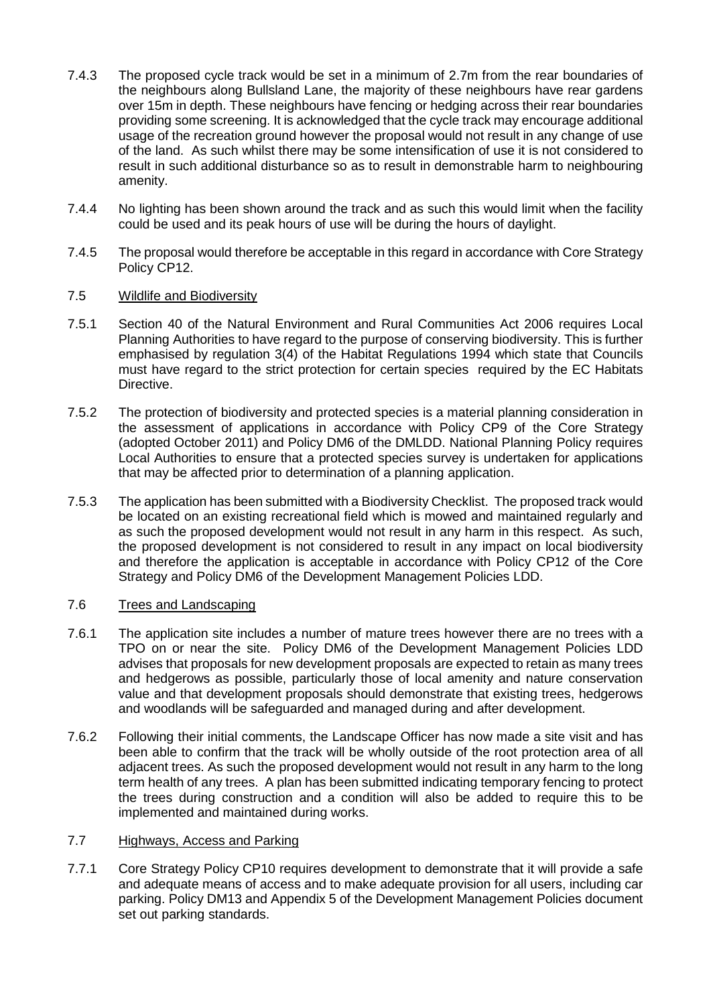- 7.4.3 The proposed cycle track would be set in a minimum of 2.7m from the rear boundaries of the neighbours along Bullsland Lane, the majority of these neighbours have rear gardens over 15m in depth. These neighbours have fencing or hedging across their rear boundaries providing some screening. It is acknowledged that the cycle track may encourage additional usage of the recreation ground however the proposal would not result in any change of use of the land. As such whilst there may be some intensification of use it is not considered to result in such additional disturbance so as to result in demonstrable harm to neighbouring amenity.
- 7.4.4 No lighting has been shown around the track and as such this would limit when the facility could be used and its peak hours of use will be during the hours of daylight.
- 7.4.5 The proposal would therefore be acceptable in this regard in accordance with Core Strategy Policy CP12.
- 7.5 Wildlife and Biodiversity
- 7.5.1 Section 40 of the Natural Environment and Rural Communities Act 2006 requires Local Planning Authorities to have regard to the purpose of conserving biodiversity. This is further emphasised by regulation 3(4) of the Habitat Regulations 1994 which state that Councils must have regard to the strict protection for certain species required by the EC Habitats Directive.
- 7.5.2 The protection of biodiversity and protected species is a material planning consideration in the assessment of applications in accordance with Policy CP9 of the Core Strategy (adopted October 2011) and Policy DM6 of the DMLDD. National Planning Policy requires Local Authorities to ensure that a protected species survey is undertaken for applications that may be affected prior to determination of a planning application.
- 7.5.3 The application has been submitted with a Biodiversity Checklist. The proposed track would be located on an existing recreational field which is mowed and maintained regularly and as such the proposed development would not result in any harm in this respect. As such, the proposed development is not considered to result in any impact on local biodiversity and therefore the application is acceptable in accordance with Policy CP12 of the Core Strategy and Policy DM6 of the Development Management Policies LDD.

# 7.6 Trees and Landscaping

- 7.6.1 The application site includes a number of mature trees however there are no trees with a TPO on or near the site. Policy DM6 of the Development Management Policies LDD advises that proposals for new development proposals are expected to retain as many trees and hedgerows as possible, particularly those of local amenity and nature conservation value and that development proposals should demonstrate that existing trees, hedgerows and woodlands will be safeguarded and managed during and after development.
- 7.6.2 Following their initial comments, the Landscape Officer has now made a site visit and has been able to confirm that the track will be wholly outside of the root protection area of all adjacent trees. As such the proposed development would not result in any harm to the long term health of any trees. A plan has been submitted indicating temporary fencing to protect the trees during construction and a condition will also be added to require this to be implemented and maintained during works.

## 7.7 Highways, Access and Parking

7.7.1 Core Strategy Policy CP10 requires development to demonstrate that it will provide a safe and adequate means of access and to make adequate provision for all users, including car parking. Policy DM13 and Appendix 5 of the Development Management Policies document set out parking standards.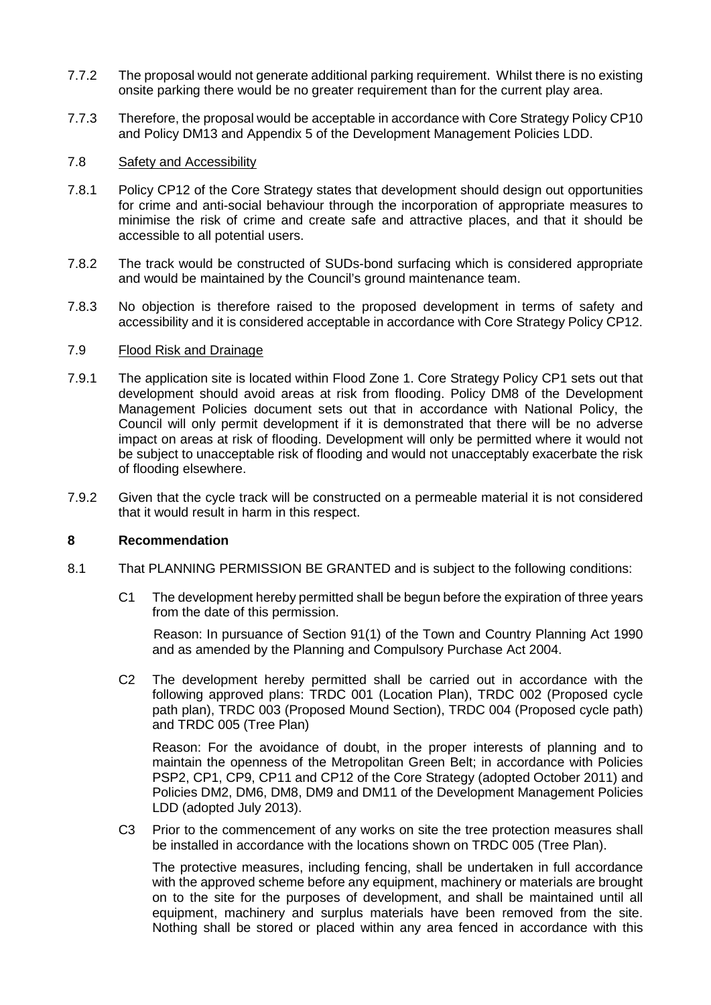- 7.7.2 The proposal would not generate additional parking requirement. Whilst there is no existing onsite parking there would be no greater requirement than for the current play area.
- 7.7.3 Therefore, the proposal would be acceptable in accordance with Core Strategy Policy CP10 and Policy DM13 and Appendix 5 of the Development Management Policies LDD.

# 7.8 Safety and Accessibility

- 7.8.1 Policy CP12 of the Core Strategy states that development should design out opportunities for crime and anti-social behaviour through the incorporation of appropriate measures to minimise the risk of crime and create safe and attractive places, and that it should be accessible to all potential users.
- 7.8.2 The track would be constructed of SUDs-bond surfacing which is considered appropriate and would be maintained by the Council's ground maintenance team.
- 7.8.3 No objection is therefore raised to the proposed development in terms of safety and accessibility and it is considered acceptable in accordance with Core Strategy Policy CP12.

## 7.9 Flood Risk and Drainage

- 7.9.1 The application site is located within Flood Zone 1. Core Strategy Policy CP1 sets out that development should avoid areas at risk from flooding. Policy DM8 of the Development Management Policies document sets out that in accordance with National Policy, the Council will only permit development if it is demonstrated that there will be no adverse impact on areas at risk of flooding. Development will only be permitted where it would not be subject to unacceptable risk of flooding and would not unacceptably exacerbate the risk of flooding elsewhere.
- 7.9.2 Given that the cycle track will be constructed on a permeable material it is not considered that it would result in harm in this respect.

## **8 Recommendation**

- 8.1 That PLANNING PERMISSION BE GRANTED and is subject to the following conditions:
	- C1 The development hereby permitted shall be begun before the expiration of three years from the date of this permission.

Reason: In pursuance of Section 91(1) of the Town and Country Planning Act 1990 and as amended by the Planning and Compulsory Purchase Act 2004.

C2 The development hereby permitted shall be carried out in accordance with the following approved plans: TRDC 001 (Location Plan), TRDC 002 (Proposed cycle path plan), TRDC 003 (Proposed Mound Section), TRDC 004 (Proposed cycle path) and TRDC 005 (Tree Plan)

Reason: For the avoidance of doubt, in the proper interests of planning and to maintain the openness of the Metropolitan Green Belt; in accordance with Policies PSP2, CP1, CP9, CP11 and CP12 of the Core Strategy (adopted October 2011) and Policies DM2, DM6, DM8, DM9 and DM11 of the Development Management Policies LDD (adopted July 2013).

C3 Prior to the commencement of any works on site the tree protection measures shall be installed in accordance with the locations shown on TRDC 005 (Tree Plan).

The protective measures, including fencing, shall be undertaken in full accordance with the approved scheme before any equipment, machinery or materials are brought on to the site for the purposes of development, and shall be maintained until all equipment, machinery and surplus materials have been removed from the site. Nothing shall be stored or placed within any area fenced in accordance with this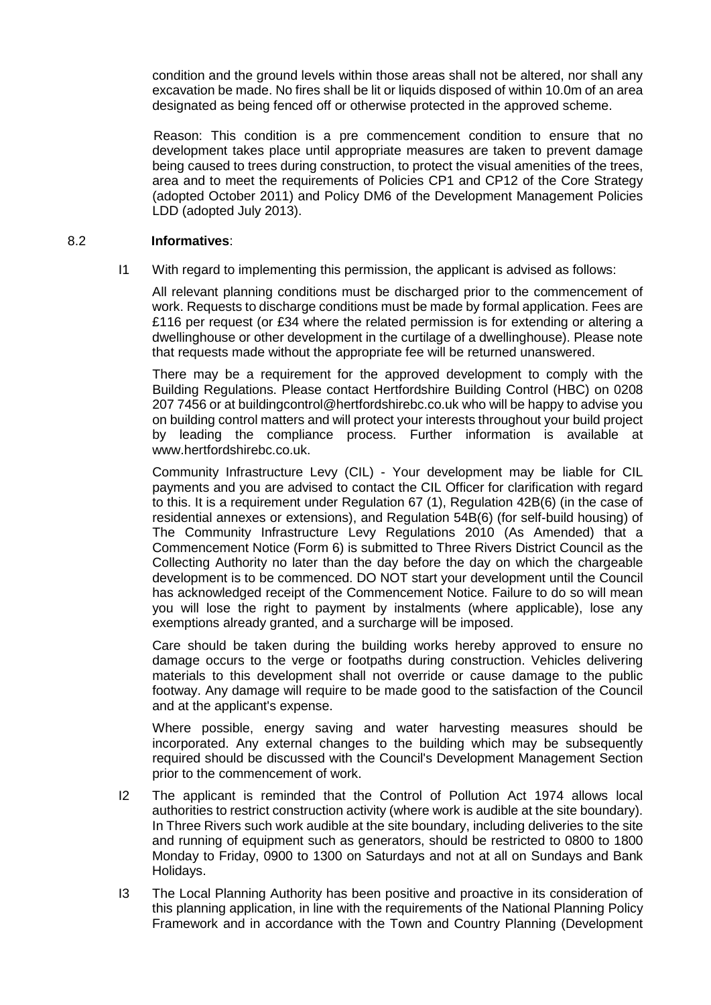condition and the ground levels within those areas shall not be altered, nor shall any excavation be made. No fires shall be lit or liquids disposed of within 10.0m of an area designated as being fenced off or otherwise protected in the approved scheme.

Reason: This condition is a pre commencement condition to ensure that no development takes place until appropriate measures are taken to prevent damage being caused to trees during construction, to protect the visual amenities of the trees, area and to meet the requirements of Policies CP1 and CP12 of the Core Strategy (adopted October 2011) and Policy DM6 of the Development Management Policies LDD (adopted July 2013).

## 8.2 **Informatives**:

I1 With regard to implementing this permission, the applicant is advised as follows:

All relevant planning conditions must be discharged prior to the commencement of work. Requests to discharge conditions must be made by formal application. Fees are £116 per request (or £34 where the related permission is for extending or altering a dwellinghouse or other development in the curtilage of a dwellinghouse). Please note that requests made without the appropriate fee will be returned unanswered.

There may be a requirement for the approved development to comply with the Building Regulations. Please contact Hertfordshire Building Control (HBC) on 0208 207 7456 or at buildingcontrol@hertfordshirebc.co.uk who will be happy to advise you on building control matters and will protect your interests throughout your build project by leading the compliance process. Further information is available at www.hertfordshirebc.co.uk.

Community Infrastructure Levy (CIL) - Your development may be liable for CIL payments and you are advised to contact the CIL Officer for clarification with regard to this. It is a requirement under Regulation 67 (1), Regulation 42B(6) (in the case of residential annexes or extensions), and Regulation 54B(6) (for self-build housing) of The Community Infrastructure Levy Regulations 2010 (As Amended) that a Commencement Notice (Form 6) is submitted to Three Rivers District Council as the Collecting Authority no later than the day before the day on which the chargeable development is to be commenced. DO NOT start your development until the Council has acknowledged receipt of the Commencement Notice. Failure to do so will mean you will lose the right to payment by instalments (where applicable), lose any exemptions already granted, and a surcharge will be imposed.

Care should be taken during the building works hereby approved to ensure no damage occurs to the verge or footpaths during construction. Vehicles delivering materials to this development shall not override or cause damage to the public footway. Any damage will require to be made good to the satisfaction of the Council and at the applicant's expense.

Where possible, energy saving and water harvesting measures should be incorporated. Any external changes to the building which may be subsequently required should be discussed with the Council's Development Management Section prior to the commencement of work.

- I2 The applicant is reminded that the Control of Pollution Act 1974 allows local authorities to restrict construction activity (where work is audible at the site boundary). In Three Rivers such work audible at the site boundary, including deliveries to the site and running of equipment such as generators, should be restricted to 0800 to 1800 Monday to Friday, 0900 to 1300 on Saturdays and not at all on Sundays and Bank Holidays.
- I3 The Local Planning Authority has been positive and proactive in its consideration of this planning application, in line with the requirements of the National Planning Policy Framework and in accordance with the Town and Country Planning (Development